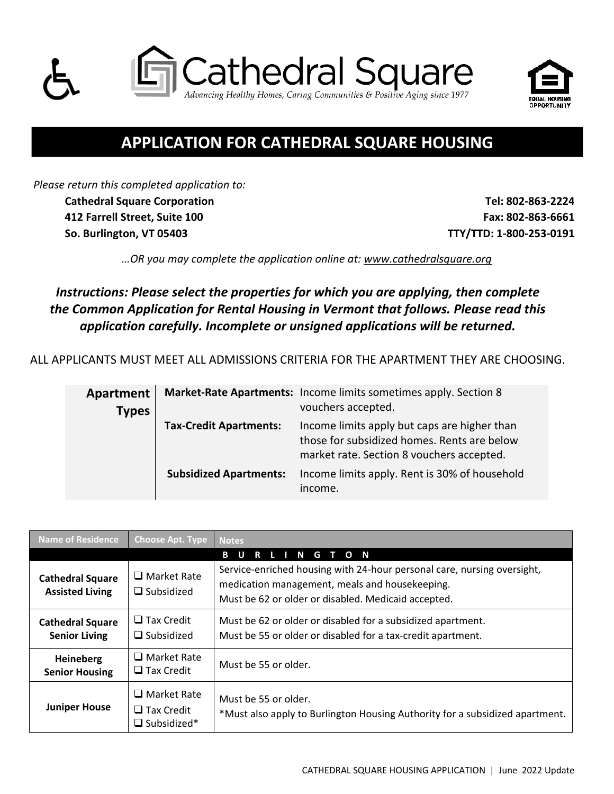



# **APPLICATION FOR CATHEDRAL SQUARE HOUSING**

*Please return this completed application to:*  **Cathedral Square Corporation Tel: 802‐863‐2224 412 Farrell Street, Suite 100 Fax: 802‐863‐6661**

 **So. Burlington, VT 05403 TTY/TTD: 1‐800‐253‐0191**

*…OR you may complete the application online at: www.cathedralsquare.org*

*Instructions: Please select the properties for which you are applying, then complete the Common Application for Rental Housing in Vermont that follows. Please read this application carefully. Incomplete or unsigned applications will be returned.*

ALL APPLICANTS MUST MEET ALL ADMISSIONS CRITERIA FOR THE APARTMENT THEY ARE CHOOSING.

| Apartment<br><b>Types</b> |                               | Market-Rate Apartments: Income limits sometimes apply. Section 8<br>vouchers accepted.                                                   |
|---------------------------|-------------------------------|------------------------------------------------------------------------------------------------------------------------------------------|
|                           | <b>Tax-Credit Apartments:</b> | Income limits apply but caps are higher than<br>those for subsidized homes. Rents are below<br>market rate. Section 8 vouchers accepted. |
|                           | <b>Subsidized Apartments:</b> | Income limits apply. Rent is 30% of household<br>income.                                                                                 |

| <b>Name of Residence</b>                          | <b>Choose Apt. Type</b>                                          | <b>Notes</b>                                                                                                                                                                     |  |
|---------------------------------------------------|------------------------------------------------------------------|----------------------------------------------------------------------------------------------------------------------------------------------------------------------------------|--|
|                                                   |                                                                  | $\blacksquare$<br>G T O N<br>R                                                                                                                                                   |  |
| <b>Cathedral Square</b><br><b>Assisted Living</b> | $\Box$ Market Rate<br>$\Box$ Subsidized                          | Service-enriched housing with 24-hour personal care, nursing oversight,<br>medication management, meals and housekeeping.<br>Must be 62 or older or disabled. Medicaid accepted. |  |
| <b>Cathedral Square</b><br><b>Senior Living</b>   | $\Box$ Tax Credit<br>$\Box$ Subsidized                           | Must be 62 or older or disabled for a subsidized apartment.<br>Must be 55 or older or disabled for a tax-credit apartment.                                                       |  |
| Heineberg<br><b>Senior Housing</b>                | $\Box$ Market Rate<br>$\Box$ Tax Credit                          | Must be 55 or older.                                                                                                                                                             |  |
| <b>Juniper House</b>                              | $\Box$ Market Rate<br>$\square$ Tax Credit<br>$\Box$ Subsidized* | Must be 55 or older.<br>*Must also apply to Burlington Housing Authority for a subsidized apartment.                                                                             |  |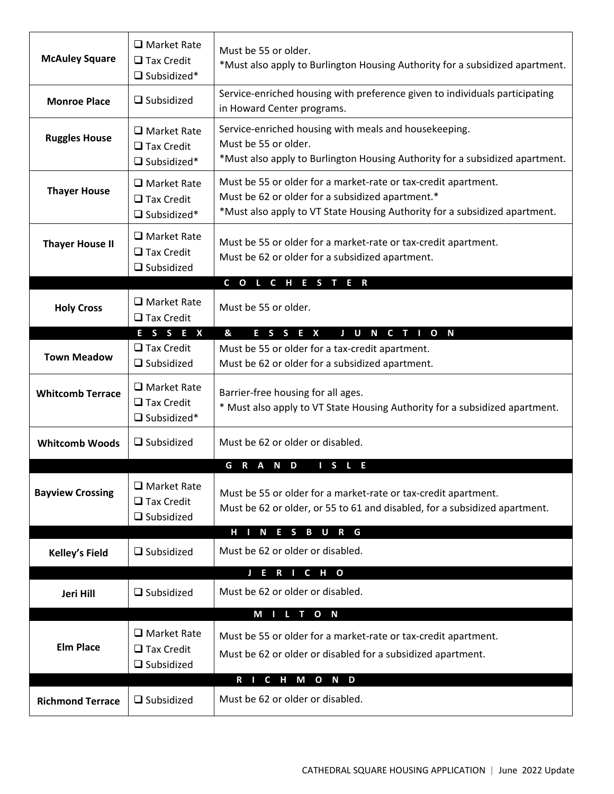| <b>McAuley Square</b>   | $\Box$ Market Rate<br>$\Box$ Tax Credit<br>$\Box$ Subsidized* | Must be 55 or older.<br>*Must also apply to Burlington Housing Authority for a subsidized apartment.                                                                                             |
|-------------------------|---------------------------------------------------------------|--------------------------------------------------------------------------------------------------------------------------------------------------------------------------------------------------|
| <b>Monroe Place</b>     | $\Box$ Subsidized                                             | Service-enriched housing with preference given to individuals participating<br>in Howard Center programs.                                                                                        |
| <b>Ruggles House</b>    | $\Box$ Market Rate<br>$\Box$ Tax Credit<br>$\Box$ Subsidized* | Service-enriched housing with meals and housekeeping.<br>Must be 55 or older.<br>*Must also apply to Burlington Housing Authority for a subsidized apartment.                                    |
| <b>Thayer House</b>     | $\Box$ Market Rate<br>$\Box$ Tax Credit<br>$\Box$ Subsidized* | Must be 55 or older for a market-rate or tax-credit apartment.<br>Must be 62 or older for a subsidized apartment.*<br>*Must also apply to VT State Housing Authority for a subsidized apartment. |
| <b>Thayer House II</b>  | $\Box$ Market Rate<br>$\Box$ Tax Credit<br>$\Box$ Subsidized  | Must be 55 or older for a market-rate or tax-credit apartment.<br>Must be 62 or older for a subsidized apartment.                                                                                |
|                         |                                                               | COLCHESTER                                                                                                                                                                                       |
| <b>Holy Cross</b>       | $\Box$ Market Rate<br>$\Box$ Tax Credit                       | Must be 55 or older.                                                                                                                                                                             |
|                         | ESSEX                                                         | &<br>E S S<br>E X<br>J U N C T I O N                                                                                                                                                             |
| <b>Town Meadow</b>      | $\Box$ Tax Credit<br>$\Box$ Subsidized                        | Must be 55 or older for a tax-credit apartment.<br>Must be 62 or older for a subsidized apartment.                                                                                               |
| <b>Whitcomb Terrace</b> | $\Box$ Market Rate<br>$\Box$ Tax Credit<br>$\Box$ Subsidized* | Barrier-free housing for all ages.<br>* Must also apply to VT State Housing Authority for a subsidized apartment.                                                                                |
| <b>Whitcomb Woods</b>   | $\Box$ Subsidized                                             | Must be 62 or older or disabled.                                                                                                                                                                 |
|                         |                                                               | G<br>$\mathsf{R}$<br>A<br>N D<br>S<br>E                                                                                                                                                          |
| <b>Bayview Crossing</b> | □ Market Rate<br>$\Box$ Tax Credit<br>$\Box$ Subsidized       | Must be 55 or older for a market-rate or tax-credit apartment.<br>Must be 62 or older, or 55 to 61 and disabled, for a subsidized apartment.                                                     |
|                         |                                                               | H I N E S B U R G                                                                                                                                                                                |
| <b>Kelley's Field</b>   | $\Box$ Subsidized                                             | Must be 62 or older or disabled.                                                                                                                                                                 |
|                         |                                                               | J E R I C H O                                                                                                                                                                                    |
| Jeri Hill               | $\Box$ Subsidized                                             | Must be 62 or older or disabled.                                                                                                                                                                 |
| <b>Elm Place</b>        | $\Box$ Market Rate<br>$\Box$ Tax Credit<br>$\Box$ Subsidized  | M I L T O N<br>Must be 55 or older for a market-rate or tax-credit apartment.<br>Must be 62 or older or disabled for a subsidized apartment.                                                     |
| <b>Richmond Terrace</b> | $\Box$ Subsidized                                             | R I C H M O N D<br>Must be 62 or older or disabled.                                                                                                                                              |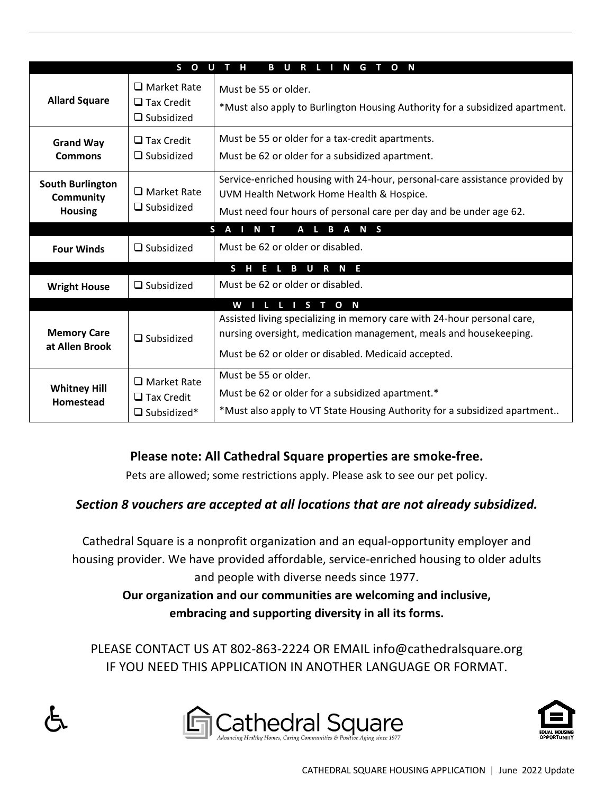|                                                               | S O U                                                         | $T$ H<br><b>BURLINGTON</b>                                                                                                                                                                          |
|---------------------------------------------------------------|---------------------------------------------------------------|-----------------------------------------------------------------------------------------------------------------------------------------------------------------------------------------------------|
| <b>Allard Square</b>                                          | $\Box$ Market Rate<br>$\Box$ Tax Credit<br>$\Box$ Subsidized  | Must be 55 or older.<br>*Must also apply to Burlington Housing Authority for a subsidized apartment.                                                                                                |
| <b>Grand Way</b><br><b>Commons</b>                            | $\Box$ Tax Credit<br>$\Box$ Subsidized                        | Must be 55 or older for a tax-credit apartments.<br>Must be 62 or older for a subsidized apartment.                                                                                                 |
| <b>South Burlington</b><br><b>Community</b><br><b>Housing</b> | $\Box$ Market Rate<br>$\Box$ Subsidized                       | Service-enriched housing with 24-hour, personal-care assistance provided by<br>UVM Health Network Home Health & Hospice.<br>Must need four hours of personal care per day and be under age 62.      |
|                                                               |                                                               | SAINT<br>A L B A N S                                                                                                                                                                                |
| <b>Four Winds</b>                                             | $\Box$ Subsidized                                             | Must be 62 or older or disabled.                                                                                                                                                                    |
|                                                               |                                                               | S H E L B U R N E                                                                                                                                                                                   |
| <b>Wright House</b>                                           | $\Box$ Subsidized                                             | Must be 62 or older or disabled.                                                                                                                                                                    |
|                                                               |                                                               | WILLISTON                                                                                                                                                                                           |
| <b>Memory Care</b><br>at Allen Brook                          | $\Box$ Subsidized                                             | Assisted living specializing in memory care with 24-hour personal care,<br>nursing oversight, medication management, meals and housekeeping.<br>Must be 62 or older or disabled. Medicaid accepted. |
| <b>Whitney Hill</b><br>Homestead                              | $\Box$ Market Rate<br>$\Box$ Tax Credit<br>$\Box$ Subsidized* | Must be 55 or older.<br>Must be 62 or older for a subsidized apartment.*<br>*Must also apply to VT State Housing Authority for a subsidized apartment                                               |

## **Please note: All Cathedral Square properties are smoke‐free.**

Pets are allowed; some restrictions apply. Please ask to see our pet policy.

## *Section 8 vouchers are accepted at all locations that are not already subsidized.*

Cathedral Square is a nonprofit organization and an equal‐opportunity employer and housing provider. We have provided affordable, service-enriched housing to older adults and people with diverse needs since 1977.

> **Our organization and our communities are welcoming and inclusive, embracing and supporting diversity in all its forms.**

PLEASE CONTACT US AT 802‐863‐2224 OR EMAIL info@cathedralsquare.org IF YOU NEED THIS APPLICATION IN ANOTHER LANGUAGE OR FORMAT.





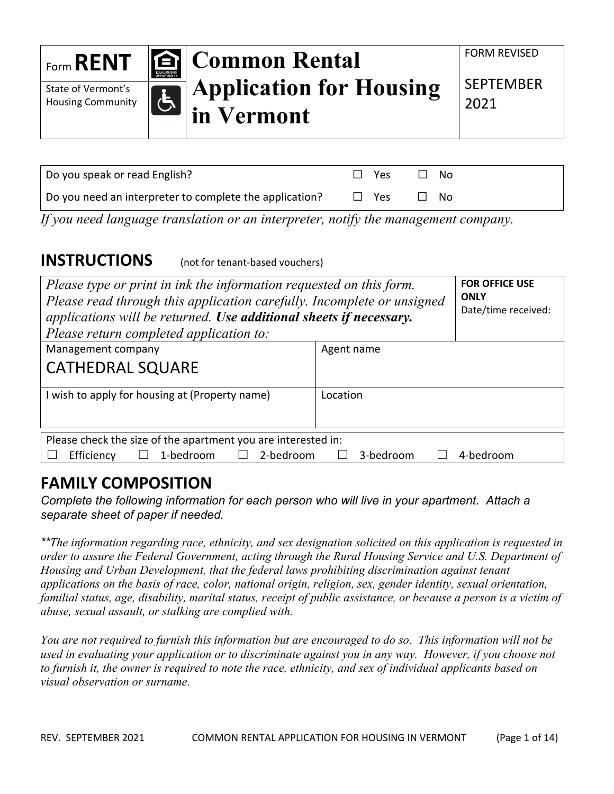| Form <b>RENT</b>         | <b>EQUAL HOUSING</b><br>OPPORTUNITY | <b>E</b> Common Rental         | <b>FORM REVISED</b> |
|--------------------------|-------------------------------------|--------------------------------|---------------------|
| State of Vermont's       |                                     | <b>Application for Housing</b> | <b>SEPTEMBER</b>    |
| <b>Housing Community</b> |                                     | in Vermont                     | 2021                |

| Do you speak or read English?                           | Yes.       | N∩        |  |
|---------------------------------------------------------|------------|-----------|--|
| Do you need an interpreter to complete the application? | $\Box$ Yes | $\Box$ No |  |

*If you need language translation or an interpreter, notify the management company.* 

## **INSTRUCTIONS** (not for tenant-based vouchers)

| Please type or print in ink the information requested on this form.<br>Please read through this application carefully. Incomplete or unsigned<br>applications will be returned. Use additional sheets if necessary.<br>Please return completed application to: | <b>FOR OFFICE USE</b><br><b>ONLY</b><br>Date/time received: |           |
|----------------------------------------------------------------------------------------------------------------------------------------------------------------------------------------------------------------------------------------------------------------|-------------------------------------------------------------|-----------|
| Management company                                                                                                                                                                                                                                             | Agent name                                                  |           |
| <b>CATHEDRAL SQUARE</b>                                                                                                                                                                                                                                        |                                                             |           |
| I wish to apply for housing at (Property name)                                                                                                                                                                                                                 | Location                                                    |           |
| Please check the size of the apartment you are interested in:                                                                                                                                                                                                  |                                                             |           |
| 1-bedroom<br>2-bedroom<br>Efficiency                                                                                                                                                                                                                           | 3-bedroom                                                   | 4-bedroom |

# **FAMILY COMPOSITION**

*Complete the following information for each person who will live in your apartment. Attach a separate sheet of paper if needed.* 

*\*\*The information regarding race, ethnicity, and sex designation solicited on this application is requested in order to assure the Federal Government, acting through the Rural Housing Service and U.S. Department of Housing and Urban Development, that the federal laws prohibiting discrimination against tenant applications on the basis of race, color, national origin, religion, sex, gender identity, sexual orientation, familial status, age, disability, marital status, receipt of public assistance, or because a person is a victim of abuse, sexual assault, or stalking are complied with.*

*You are not required to furnish this information but are encouraged to do so. This information will not be used in evaluating your application or to discriminate against you in any way. However, if you choose not to furnish it, the owner is required to note the race, ethnicity, and sex of individual applicants based on visual observation or surname.*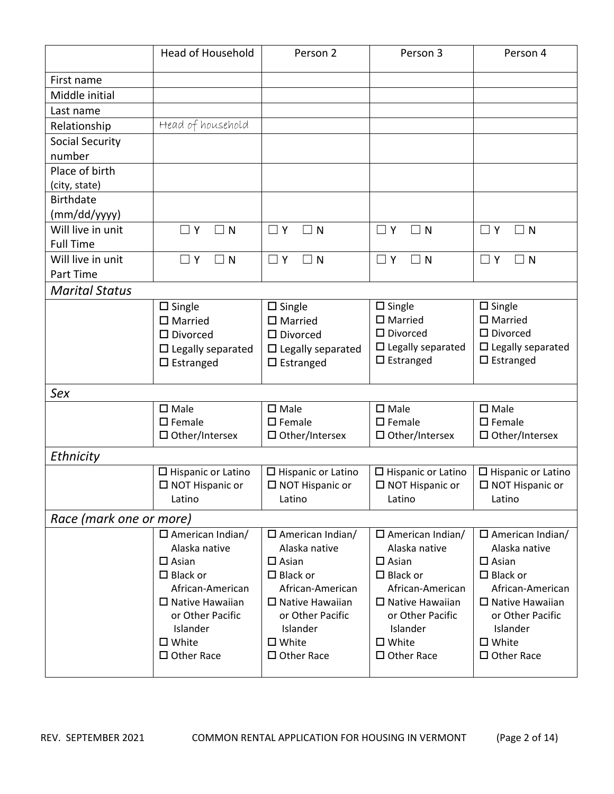|                         | <b>Head of Household</b>            | Person 2                            | Person 3                                           | Person 4                                           |
|-------------------------|-------------------------------------|-------------------------------------|----------------------------------------------------|----------------------------------------------------|
| First name              |                                     |                                     |                                                    |                                                    |
| Middle initial          |                                     |                                     |                                                    |                                                    |
| Last name               |                                     |                                     |                                                    |                                                    |
| Relationship            | Head of household                   |                                     |                                                    |                                                    |
| <b>Social Security</b>  |                                     |                                     |                                                    |                                                    |
| number                  |                                     |                                     |                                                    |                                                    |
| Place of birth          |                                     |                                     |                                                    |                                                    |
| (city, state)           |                                     |                                     |                                                    |                                                    |
| <b>Birthdate</b>        |                                     |                                     |                                                    |                                                    |
| (mm/dd/yyyy)            |                                     |                                     |                                                    |                                                    |
| Will live in unit       | $\Box$ Y<br>$\Box$ N                | $\Box$ Y<br>$\exists$ N             | $\Box$ Y<br>$\Box$ N                               | $\Box$ Y<br>$\Box$ N                               |
| <b>Full Time</b>        |                                     |                                     |                                                    |                                                    |
| Will live in unit       | $\Box$ Y<br>$\Box$ N                | $\Box$ Y<br>$\Box$ N                | $\Box$ Y<br>$\Box$ N                               | $\exists$ N<br>$\Box$ Y                            |
| Part Time               |                                     |                                     |                                                    |                                                    |
| <b>Marital Status</b>   |                                     |                                     |                                                    |                                                    |
|                         | $\square$ Single                    | $\square$ Single                    | $\square$ Single                                   | $\square$ Single                                   |
|                         | $\square$ Married                   | $\square$ Married                   | $\square$ Married                                  | $\square$ Married                                  |
|                         | $\square$ Divorced                  | $\square$ Divorced                  | $\square$ Divorced                                 | $\square$ Divorced                                 |
|                         | $\square$ Legally separated         | $\square$ Legally separated         | $\square$ Legally separated<br>$\square$ Estranged | $\square$ Legally separated<br>$\square$ Estranged |
|                         | $\Box$ Estranged                    | $\square$ Estranged                 |                                                    |                                                    |
| Sex                     |                                     |                                     |                                                    |                                                    |
|                         | $\square$ Male                      | $\square$ Male                      | $\square$ Male                                     | $\square$ Male                                     |
|                         | $\square$ Female                    | $\square$ Female                    | $\square$ Female                                   | $\square$ Female                                   |
|                         | $\square$ Other/Intersex            | $\Box$ Other/Intersex               | $\square$ Other/Intersex                           | $\Box$ Other/Intersex                              |
| Ethnicity               |                                     |                                     |                                                    |                                                    |
|                         | $\square$ Hispanic or Latino        | $\square$ Hispanic or Latino        | $\square$ Hispanic or Latino                       | $\Box$ Hispanic or Latino                          |
|                         | $\square$ NOT Hispanic or           | $\square$ NOT Hispanic or           | $\Box$ NOT Hispanic or                             | $\square$ NOT Hispanic or                          |
|                         | Latino                              | Latino                              | Latino                                             | Latino                                             |
| Race (mark one or more) |                                     |                                     |                                                    |                                                    |
|                         | $\Box$ American Indian/             | $\Box$ American Indian/             | $\Box$ American Indian/                            | $\Box$ American Indian/                            |
|                         | Alaska native                       | Alaska native                       | Alaska native                                      | Alaska native                                      |
|                         | $\square$ Asian                     | $\square$ Asian                     | $\Box$ Asian                                       | $\Box$ Asian                                       |
|                         | $\Box$ Black or<br>African-American | $\Box$ Black or<br>African-American | $\Box$ Black or<br>African-American                | $\Box$ Black or<br>African-American                |
|                         | $\Box$ Native Hawaiian              | $\Box$ Native Hawaiian              | $\Box$ Native Hawaiian                             | $\Box$ Native Hawaiian                             |
|                         | or Other Pacific                    | or Other Pacific                    | or Other Pacific                                   | or Other Pacific                                   |
|                         | Islander                            | Islander                            | Islander                                           | Islander                                           |
|                         | $\square$ White                     | $\square$ White                     | $\square$ White                                    | $\square$ White                                    |
|                         | $\Box$ Other Race                   | $\Box$ Other Race                   | $\Box$ Other Race                                  | $\Box$ Other Race                                  |
|                         |                                     |                                     |                                                    |                                                    |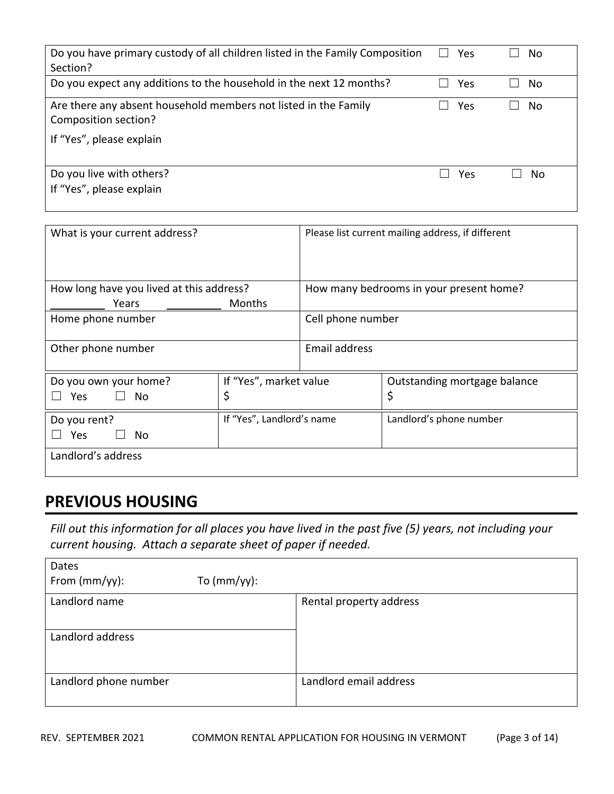| Do you have primary custody of all children listed in the Family Composition<br>Section? | Yes | No. |
|------------------------------------------------------------------------------------------|-----|-----|
| Do you expect any additions to the household in the next 12 months?                      | Yes | No. |
| Are there any absent household members not listed in the Family<br>Composition section?  | Yes | No. |
| If "Yes", please explain                                                                 |     |     |
| Do you live with others?<br>If "Yes", please explain                                     | Yes | No. |

| What is your current address?                                        |               |                      | Please list current mailing address, if different |
|----------------------------------------------------------------------|---------------|----------------------|---------------------------------------------------|
| How long have you lived at this address?                             |               |                      | How many bedrooms in your present home?           |
| Years                                                                | <b>Months</b> |                      |                                                   |
| Home phone number                                                    |               | Cell phone number    |                                                   |
| Other phone number                                                   |               | <b>Email address</b> |                                                   |
| If "Yes", market value<br>Do you own your home?<br>\$<br>Yes.<br>No. |               |                      | Outstanding mortgage balance<br>\$                |
| If "Yes", Landlord's name<br>Do you rent?<br><b>Yes</b><br>No        |               |                      | Landlord's phone number                           |
| Landlord's address                                                   |               |                      |                                                   |

# **PREVIOUS HOUSING**

Fill out this information for all places you have lived in the past five (5) years, not including your *current housing. Attach a separate sheet of paper if needed.*

| Dates                 |                |                         |
|-----------------------|----------------|-------------------------|
| From $(mm/yy)$ :      | To $(mm/yy)$ : |                         |
| Landlord name         |                | Rental property address |
| Landlord address      |                |                         |
| Landlord phone number |                | Landlord email address  |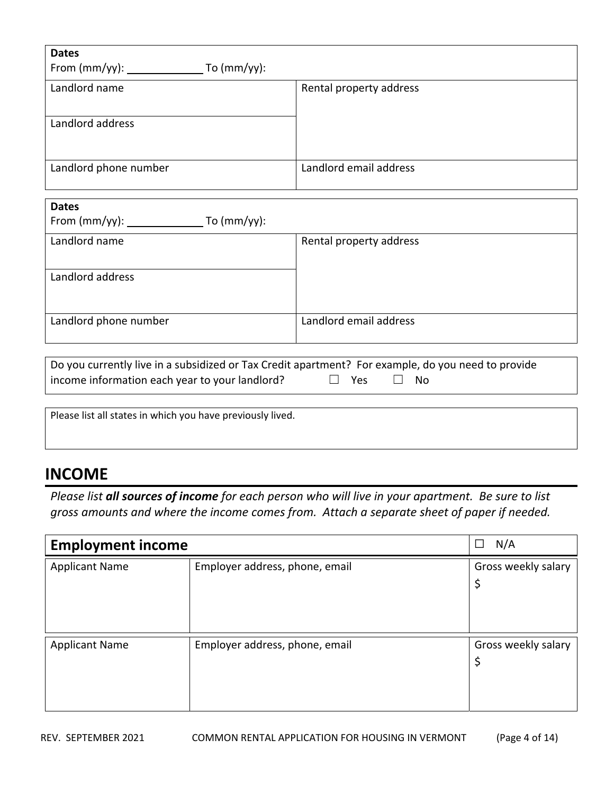| <b>Dates</b>                             |                         |
|------------------------------------------|-------------------------|
| From $(mm/yy)$ : _____<br>To $(mm/yy)$ : |                         |
| Landlord name                            | Rental property address |
| Landlord address                         |                         |
| Landlord phone number                    | Landlord email address  |

| <b>Dates</b><br>To $(mm/yy)$ : |                         |
|--------------------------------|-------------------------|
| Landlord name                  | Rental property address |
| Landlord address               |                         |
| Landlord phone number          | Landlord email address  |

| Do you currently live in a subsidized or Tax Credit apartment? For example, do you need to provide |                      |  |
|----------------------------------------------------------------------------------------------------|----------------------|--|
| income information each year to your landlord?                                                     | $\Box$ Yes $\Box$ No |  |

Please list all states in which you have previously lived.

## **INCOME**

Please list all sources of income for each person who will live in your apartment. Be sure to list *gross amounts and where the income comes from. Attach a separate sheet of paper if needed.*

| <b>Employment income</b> | N/A<br>□                       |                          |
|--------------------------|--------------------------------|--------------------------|
| <b>Applicant Name</b>    | Employer address, phone, email | Gross weekly salary<br>Ş |
| <b>Applicant Name</b>    | Employer address, phone, email | Gross weekly salary<br>Ş |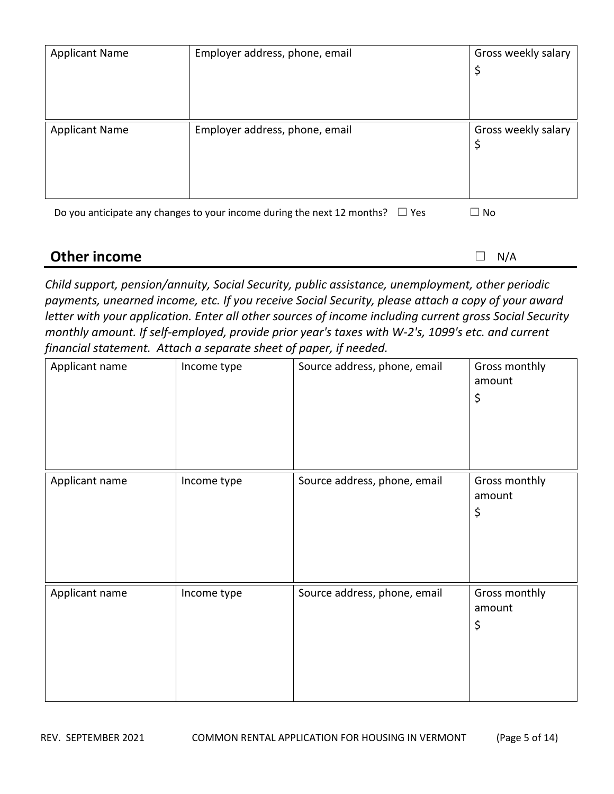| <b>Applicant Name</b>                                                                 | Employer address, phone, email | Gross weekly salary<br>\$ |  |
|---------------------------------------------------------------------------------------|--------------------------------|---------------------------|--|
| <b>Applicant Name</b>                                                                 | Employer address, phone, email | Gross weekly salary<br>\$ |  |
| Do you anticipate any changes to your income during the next 12 months? $\square$ Yes | $\Box$ No                      |                           |  |
| <b>Other income</b><br>N/A                                                            |                                |                           |  |

*Child support, pension/annuity, Social Security, public assistance, unemployment, other periodic payments, unearned income, etc. If you receive Social Security, please attach a copy of your award letter with your application. Enter all other sources of income including current gross Social Security monthly amount. If self‐employed, provide prior year's taxes with W‐2's, 1099's etc. and current financial statement. Attach a separate sheet of paper, if needed.*

| Applicant name | Income type | Source address, phone, email | Gross monthly<br>amount<br>\$ |
|----------------|-------------|------------------------------|-------------------------------|
| Applicant name | Income type | Source address, phone, email | Gross monthly<br>amount<br>\$ |
| Applicant name | Income type | Source address, phone, email | Gross monthly<br>amount<br>\$ |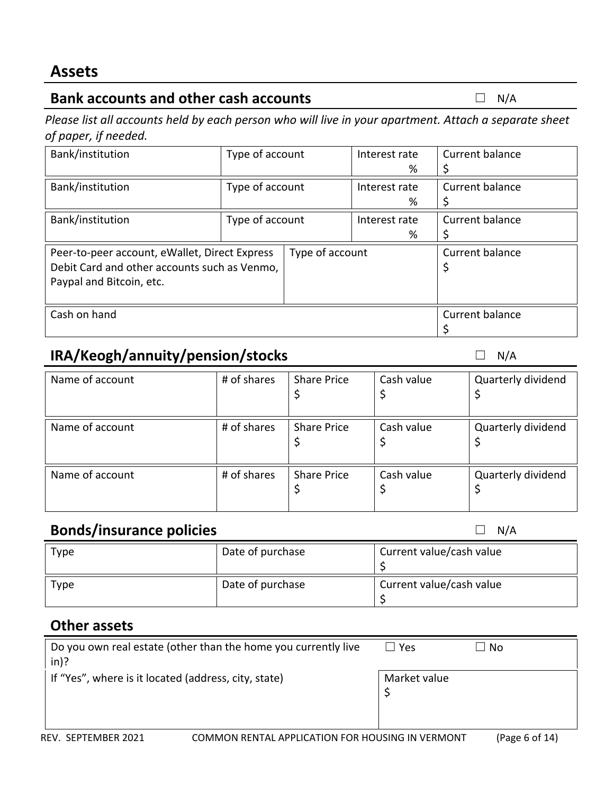## **Bank accounts and other cash accounts** ☐ N/A

Please list all accounts held by each person who will live in your apartment. Attach a separate sheet *of paper, if needed.*

| Bank/institution                              | Type of account |                 |   |                 | Interest rate | Current balance |
|-----------------------------------------------|-----------------|-----------------|---|-----------------|---------------|-----------------|
|                                               |                 |                 | % |                 |               |                 |
| Bank/institution                              | Type of account |                 |   |                 | Interest rate | Current balance |
|                                               |                 |                 | % |                 |               |                 |
| Bank/institution                              | Type of account |                 |   |                 | Interest rate | Current balance |
|                                               |                 |                 | % |                 |               |                 |
| Peer-to-peer account, eWallet, Direct Express |                 | Type of account |   | Current balance |               |                 |
| Debit Card and other accounts such as Venmo,  |                 |                 |   | \$              |               |                 |
| Paypal and Bitcoin, etc.                      |                 |                 |   |                 |               |                 |
|                                               |                 |                 |   |                 |               |                 |
| Cash on hand                                  |                 |                 |   | Current balance |               |                 |
|                                               |                 |                 |   |                 |               |                 |

# **IRA/Keogh/annuity/pension/stocks** □ N/A

| Name of account | # of shares | <b>Share Price</b> | Cash value | Quarterly dividend |
|-----------------|-------------|--------------------|------------|--------------------|
| Name of account | # of shares | <b>Share Price</b> | Cash value | Quarterly dividend |
| Name of account | # of shares | <b>Share Price</b> | Cash value | Quarterly dividend |

## **Bonds/insurance policies □** N/A

| Type | Date of purchase | Current value/cash value |
|------|------------------|--------------------------|
|      |                  |                          |
|      |                  |                          |
| Type | Date of purchase | Current value/cash value |
|      |                  |                          |
|      |                  |                          |

## **Other assets**

| Do you own real estate (other than the home you currently live<br>$\mathsf{in}$ )? | l l Yes      | ⊿ No |
|------------------------------------------------------------------------------------|--------------|------|
| If "Yes", where is it located (address, city, state)                               | Market value |      |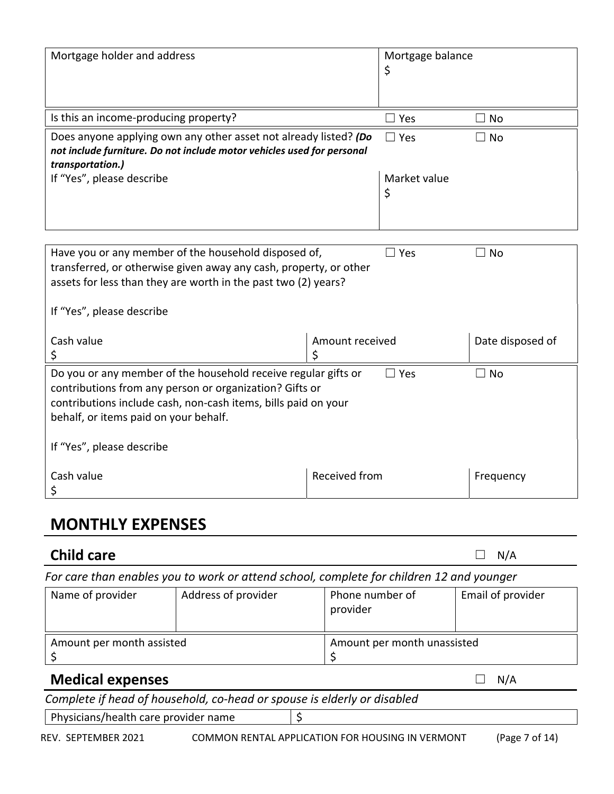| Mortgage holder and address                                            |                 | Mortgage balance |                  |
|------------------------------------------------------------------------|-----------------|------------------|------------------|
|                                                                        |                 | \$               |                  |
|                                                                        |                 |                  |                  |
|                                                                        |                 |                  |                  |
| Is this an income-producing property?                                  |                 | $\square$ Yes    | $\Box$ No        |
| Does anyone applying own any other asset not already listed? (Do       |                 | $\Box$ Yes       | $\Box$ No        |
| not include furniture. Do not include motor vehicles used for personal |                 |                  |                  |
| transportation.)                                                       |                 |                  |                  |
| If "Yes", please describe                                              |                 | Market value     |                  |
|                                                                        |                 | \$               |                  |
|                                                                        |                 |                  |                  |
|                                                                        |                 |                  |                  |
|                                                                        |                 |                  |                  |
| Have you or any member of the household disposed of,                   |                 | $\Box$ Yes       | $\Box$ No        |
|                                                                        |                 |                  |                  |
| transferred, or otherwise given away any cash, property, or other      |                 |                  |                  |
| assets for less than they are worth in the past two (2) years?         |                 |                  |                  |
|                                                                        |                 |                  |                  |
| If "Yes", please describe                                              |                 |                  |                  |
|                                                                        |                 |                  |                  |
| Cash value                                                             | Amount received |                  | Date disposed of |
| \$                                                                     | \$              |                  |                  |
| Do you or any member of the household receive regular gifts or         |                 | $\Box$ Yes       | $\Box$ No        |
| contributions from any person or organization? Gifts or                |                 |                  |                  |
| contributions include cash, non-cash items, bills paid on your         |                 |                  |                  |
| behalf, or items paid on your behalf.                                  |                 |                  |                  |
|                                                                        |                 |                  |                  |
| If "Yes", please describe                                              |                 |                  |                  |
|                                                                        |                 |                  |                  |
| Cash value                                                             | Received from   |                  | Frequency        |
|                                                                        |                 |                  |                  |
| \$                                                                     |                 |                  |                  |

# **MONTHLY EXPENSES**

| <b>Child care</b>                                                                        |                                                                         |    |                                                  |  | N/A               |
|------------------------------------------------------------------------------------------|-------------------------------------------------------------------------|----|--------------------------------------------------|--|-------------------|
| For care than enables you to work or attend school, complete for children 12 and younger |                                                                         |    |                                                  |  |                   |
| Name of provider                                                                         | Address of provider                                                     |    | Phone number of<br>provider                      |  | Email of provider |
| Amount per month assisted                                                                |                                                                         |    | Amount per month unassisted<br>\$                |  |                   |
| <b>Medical expenses</b>                                                                  |                                                                         |    |                                                  |  | N/A               |
|                                                                                          | Complete if head of household, co-head or spouse is elderly or disabled |    |                                                  |  |                   |
| Physicians/health care provider name                                                     |                                                                         | \$ |                                                  |  |                   |
| REV. SEPTEMBER 2021                                                                      |                                                                         |    | COMMON RENTAL APPLICATION FOR HOUSING IN VERMONT |  | (Page 7 of 14)    |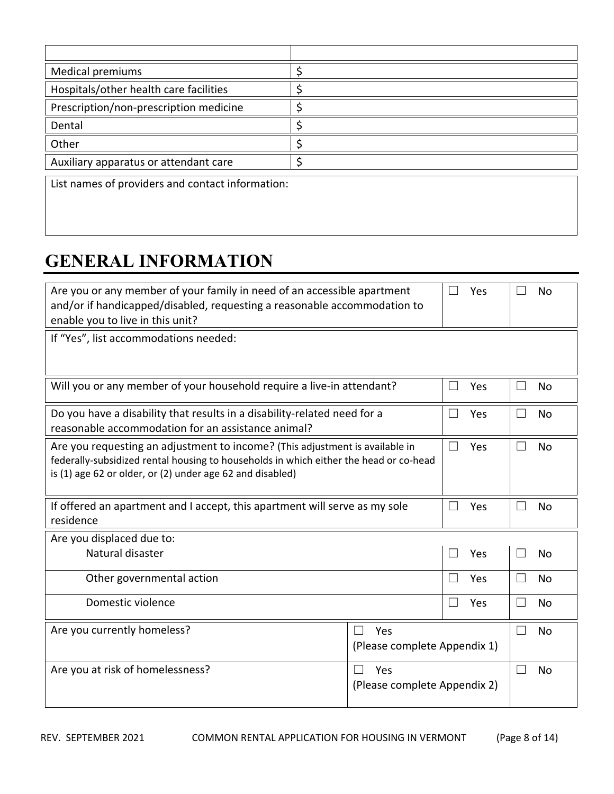| Medical premiums                                 |  |  |
|--------------------------------------------------|--|--|
| Hospitals/other health care facilities           |  |  |
| Prescription/non-prescription medicine           |  |  |
| Dental                                           |  |  |
| Other                                            |  |  |
| Auxiliary apparatus or attendant care            |  |  |
| List names of providers and contact information: |  |  |

# **GENERAL INFORMATION**

| Are you or any member of your family in need of an accessible apartment                  |                              |              | Yes |        | <b>No</b> |
|------------------------------------------------------------------------------------------|------------------------------|--------------|-----|--------|-----------|
| and/or if handicapped/disabled, requesting a reasonable accommodation to                 |                              |              |     |        |           |
| enable you to live in this unit?                                                         |                              |              |     |        |           |
| If "Yes", list accommodations needed:                                                    |                              |              |     |        |           |
|                                                                                          |                              |              |     |        |           |
|                                                                                          |                              |              |     |        |           |
| Will you or any member of your household require a live-in attendant?<br>Yes             |                              |              |     |        | <b>No</b> |
|                                                                                          |                              |              |     |        |           |
| Do you have a disability that results in a disability-related need for a                 |                              |              | Yes |        | <b>No</b> |
| reasonable accommodation for an assistance animal?                                       |                              |              |     |        |           |
| Are you requesting an adjustment to income? (This adjustment is available in<br>┓<br>Yes |                              |              |     |        | <b>No</b> |
| federally-subsidized rental housing to households in which either the head or co-head    |                              |              |     |        |           |
| is (1) age 62 or older, or (2) under age 62 and disabled)                                |                              |              |     |        |           |
|                                                                                          |                              |              |     |        |           |
| If offered an apartment and I accept, this apartment will serve as my sole               |                              |              | Yes |        | <b>No</b> |
| residence                                                                                |                              |              |     |        |           |
| Are you displaced due to:                                                                |                              |              |     |        |           |
| Natural disaster                                                                         |                              |              | Yes |        | <b>No</b> |
|                                                                                          |                              |              |     |        |           |
| Other governmental action                                                                |                              | $\mathsf{L}$ | Yes | $\Box$ | No        |
| Domestic violence                                                                        |                              |              | Yes |        | No        |
|                                                                                          |                              |              |     |        |           |
| Are you currently homeless?                                                              | Yes                          |              |     |        | <b>No</b> |
|                                                                                          | (Please complete Appendix 1) |              |     |        |           |
| Are you at risk of homelessness?                                                         |                              |              |     |        |           |
|                                                                                          | Yes                          |              |     |        | No        |
| (Please complete Appendix 2)                                                             |                              |              |     |        |           |
|                                                                                          |                              |              |     |        |           |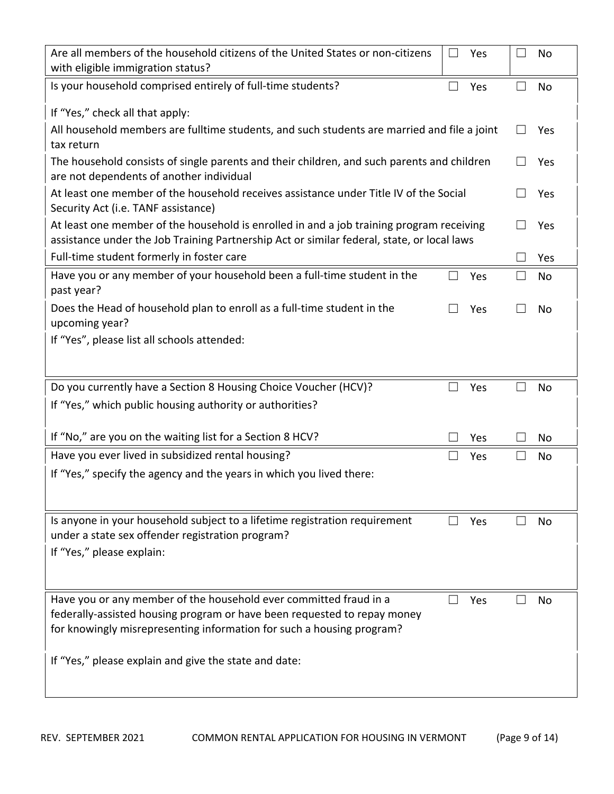| Are all members of the household citizens of the United States or non-citizens<br>$\overline{\phantom{0}}$<br>Yes<br>with eligible immigration status?                                                                                                                                 |              | <b>No</b> |
|----------------------------------------------------------------------------------------------------------------------------------------------------------------------------------------------------------------------------------------------------------------------------------------|--------------|-----------|
| Is your household comprised entirely of full-time students?<br>Yes                                                                                                                                                                                                                     |              | <b>No</b> |
| If "Yes," check all that apply:                                                                                                                                                                                                                                                        |              |           |
| All household members are fulltime students, and such students are married and file a joint<br>tax return                                                                                                                                                                              |              | Yes       |
| The household consists of single parents and their children, and such parents and children<br>are not dependents of another individual                                                                                                                                                 |              | Yes       |
| At least one member of the household receives assistance under Title IV of the Social<br>Security Act (i.e. TANF assistance)                                                                                                                                                           |              | Yes       |
| At least one member of the household is enrolled in and a job training program receiving<br>assistance under the Job Training Partnership Act or similar federal, state, or local laws                                                                                                 |              | Yes       |
| Full-time student formerly in foster care                                                                                                                                                                                                                                              | $\mathsf{L}$ | Yes       |
| Have you or any member of your household been a full-time student in the<br>П<br>Yes<br>past year?                                                                                                                                                                                     | $\Box$       | No        |
| Does the Head of household plan to enroll as a full-time student in the<br>Yes<br>upcoming year?                                                                                                                                                                                       |              | No        |
| If "Yes", please list all schools attended:                                                                                                                                                                                                                                            |              |           |
|                                                                                                                                                                                                                                                                                        |              |           |
| Do you currently have a Section 8 Housing Choice Voucher (HCV)?<br>Yes                                                                                                                                                                                                                 |              | No        |
| If "Yes," which public housing authority or authorities?                                                                                                                                                                                                                               |              |           |
| If "No," are you on the waiting list for a Section 8 HCV?<br>Yes                                                                                                                                                                                                                       |              | No        |
| Have you ever lived in subsidized rental housing?<br>Yes                                                                                                                                                                                                                               | $\Box$       | No        |
| If "Yes," specify the agency and the years in which you lived there:                                                                                                                                                                                                                   |              |           |
| Is anyone in your household subject to a lifetime registration requirement<br>Yes<br>under a state sex offender registration program?                                                                                                                                                  |              | No        |
| If "Yes," please explain:                                                                                                                                                                                                                                                              |              |           |
| Have you or any member of the household ever committed fraud in a<br>Yes<br>federally-assisted housing program or have been requested to repay money<br>for knowingly misrepresenting information for such a housing program?<br>If "Yes," please explain and give the state and date: |              | No        |
|                                                                                                                                                                                                                                                                                        |              |           |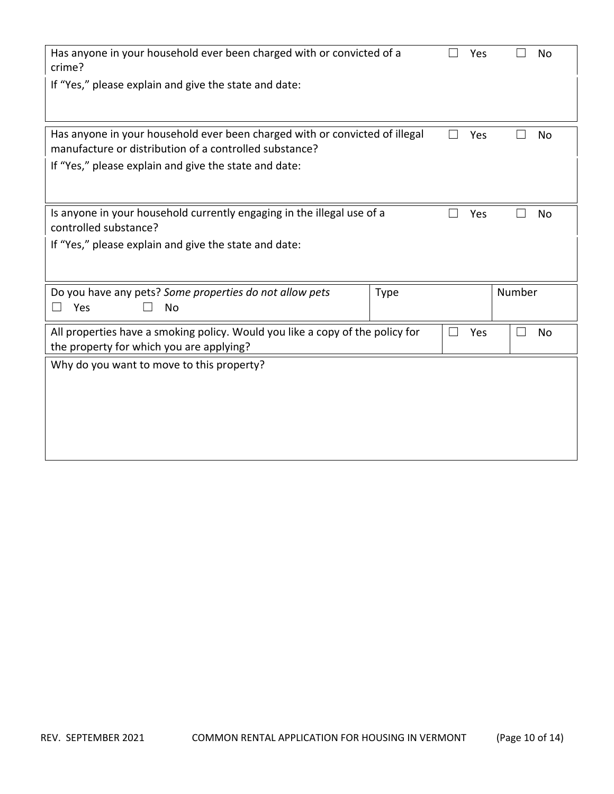| Has anyone in your household ever been charged with or convicted of a<br>crime?                                                       |  |  | No     |
|---------------------------------------------------------------------------------------------------------------------------------------|--|--|--------|
| If "Yes," please explain and give the state and date:                                                                                 |  |  |        |
| Has anyone in your household ever been charged with or convicted of illegal<br>manufacture or distribution of a controlled substance? |  |  | No     |
| If "Yes," please explain and give the state and date:                                                                                 |  |  |        |
| Is anyone in your household currently engaging in the illegal use of a<br>controlled substance?                                       |  |  | No     |
| If "Yes," please explain and give the state and date:                                                                                 |  |  |        |
| Do you have any pets? Some properties do not allow pets<br><b>Type</b><br>Yes<br><b>No</b>                                            |  |  | Number |
| All properties have a smoking policy. Would you like a copy of the policy for<br>the property for which you are applying?             |  |  | No     |
| Why do you want to move to this property?                                                                                             |  |  |        |
|                                                                                                                                       |  |  |        |
|                                                                                                                                       |  |  |        |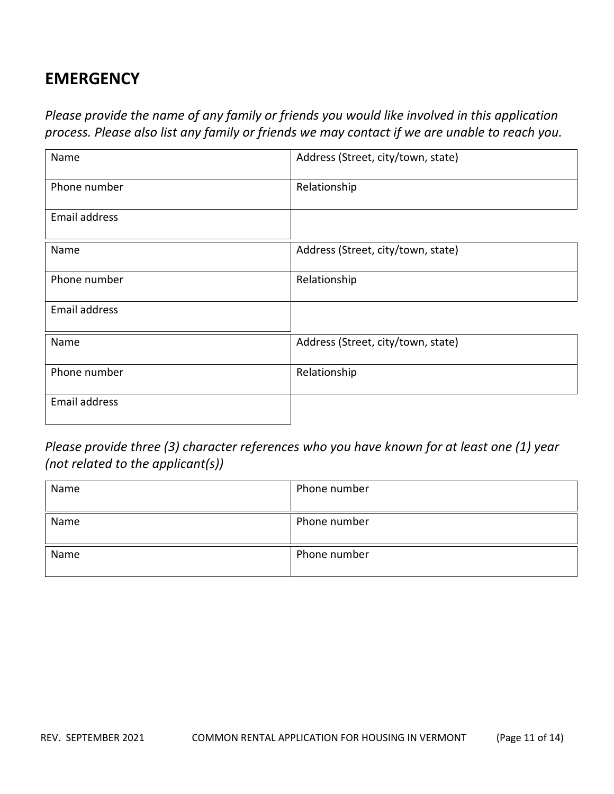# **EMERGENCY**

*Please provide the name of any family or friends you would like involved in this application process. Please also list any family or friends we may contact if we are unable to reach you.*

| Name          | Address (Street, city/town, state) |
|---------------|------------------------------------|
| Phone number  | Relationship                       |
| Email address |                                    |
| Name          | Address (Street, city/town, state) |
| Phone number  | Relationship                       |
| Email address |                                    |
| Name          | Address (Street, city/town, state) |
| Phone number  | Relationship                       |
| Email address |                                    |

*Please provide three (3) character references who you have known for at least one (1) year (not related to the applicant(s))*

| Name | Phone number |
|------|--------------|
| Name | Phone number |
| Name | Phone number |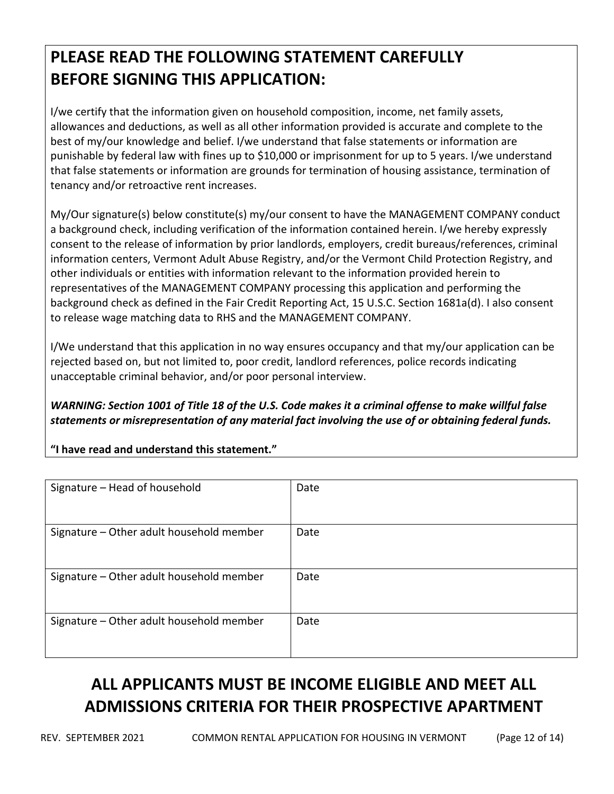# **PLEASE READ THE FOLLOWING STATEMENT CAREFULLY BEFORE SIGNING THIS APPLICATION:**

I/we certify that the information given on household composition, income, net family assets, allowances and deductions, as well as all other information provided is accurate and complete to the best of my/our knowledge and belief. I/we understand that false statements or information are punishable by federal law with fines up to \$10,000 or imprisonment for up to 5 years. I/we understand that false statements or information are grounds for termination of housing assistance, termination of tenancy and/or retroactive rent increases.

My/Our signature(s) below constitute(s) my/our consent to have the MANAGEMENT COMPANY conduct a background check, including verification of the information contained herein. I/we hereby expressly consent to the release of information by prior landlords, employers, credit bureaus/references, criminal information centers, Vermont Adult Abuse Registry, and/or the Vermont Child Protection Registry, and other individuals or entities with information relevant to the information provided herein to representatives of the MANAGEMENT COMPANY processing this application and performing the background check as defined in the Fair Credit Reporting Act, 15 U.S.C. Section 1681a(d). I also consent to release wage matching data to RHS and the MANAGEMENT COMPANY.

I/We understand that this application in no way ensures occupancy and that my/our application can be rejected based on, but not limited to, poor credit, landlord references, police records indicating unacceptable criminal behavior, and/or poor personal interview.

WARNING: Section 1001 of Title 18 of the U.S. Code makes it a criminal offense to make willful false *statements or misrepresentation of any material fact involving the use of or obtaining federal funds.*

**"I have read and understand this statement."**

| Signature - Head of household            | Date |
|------------------------------------------|------|
| Signature - Other adult household member | Date |
| Signature - Other adult household member | Date |
| Signature - Other adult household member | Date |

# **ALL APPLICANTS MUST BE INCOME ELIGIBLE AND MEET ALL ADMISSIONS CRITERIA FOR THEIR PROSPECTIVE APARTMENT**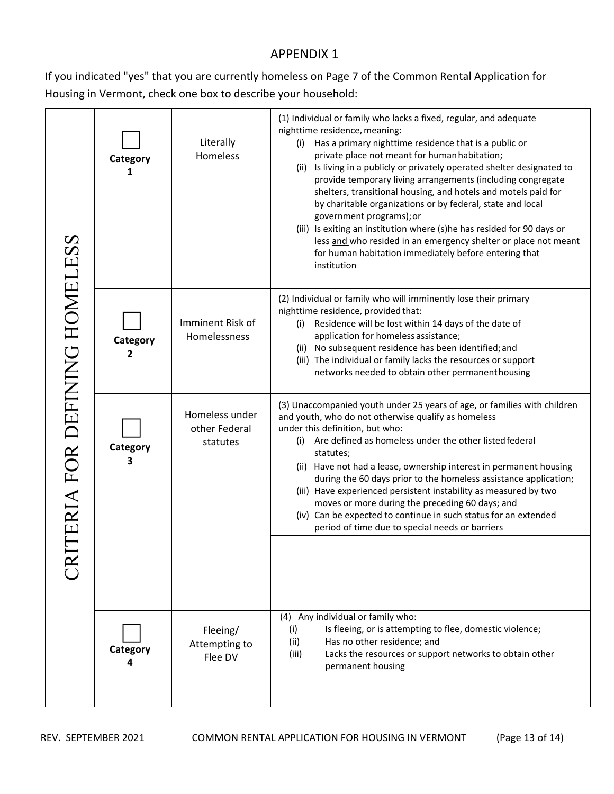### APPENDIX 1

If you indicated "yes" that you are currently homeless on Page 7 of the Common Rental Application for Housing in Vermont, check one box to describe your household:

|                             | Category<br>1 | Literally<br>Homeless                       | (1) Individual or family who lacks a fixed, regular, and adequate<br>nighttime residence, meaning:<br>Has a primary nighttime residence that is a public or<br>(i)<br>private place not meant for human habitation;<br>Is living in a publicly or privately operated shelter designated to<br>(ii)<br>provide temporary living arrangements (including congregate<br>shelters, transitional housing, and hotels and motels paid for<br>by charitable organizations or by federal, state and local<br>government programs); or<br>(iii) Is exiting an institution where (s)he has resided for 90 days or<br>less and who resided in an emergency shelter or place not meant<br>for human habitation immediately before entering that<br>institution |
|-----------------------------|---------------|---------------------------------------------|----------------------------------------------------------------------------------------------------------------------------------------------------------------------------------------------------------------------------------------------------------------------------------------------------------------------------------------------------------------------------------------------------------------------------------------------------------------------------------------------------------------------------------------------------------------------------------------------------------------------------------------------------------------------------------------------------------------------------------------------------|
|                             | Category<br>2 | Imminent Risk of<br>Homelessness            | (2) Individual or family who will imminently lose their primary<br>nighttime residence, provided that:<br>Residence will be lost within 14 days of the date of<br>(i)<br>application for homeless assistance;<br>(ii) No subsequent residence has been identified; and<br>(iii) The individual or family lacks the resources or support<br>networks needed to obtain other permanenthousing                                                                                                                                                                                                                                                                                                                                                        |
| TERIA FOR DEFINING HOMELESS | Category<br>3 | Homeless under<br>other Federal<br>statutes | (3) Unaccompanied youth under 25 years of age, or families with children<br>and youth, who do not otherwise qualify as homeless<br>under this definition, but who:<br>(i) Are defined as homeless under the other listed federal<br>statutes;<br>(ii) Have not had a lease, ownership interest in permanent housing<br>during the 60 days prior to the homeless assistance application;<br>(iii) Have experienced persistent instability as measured by two<br>moves or more during the preceding 60 days; and<br>(iv) Can be expected to continue in such status for an extended<br>period of time due to special needs or barriers                                                                                                               |
|                             | Category      | Fleeing/<br>Attempting to<br>Flee DV        | (4) Any individual or family who:<br>Is fleeing, or is attempting to flee, domestic violence;<br>(i)<br>(ii)<br>Has no other residence; and<br>(iii)<br>Lacks the resources or support networks to obtain other<br>permanent housing                                                                                                                                                                                                                                                                                                                                                                                                                                                                                                               |